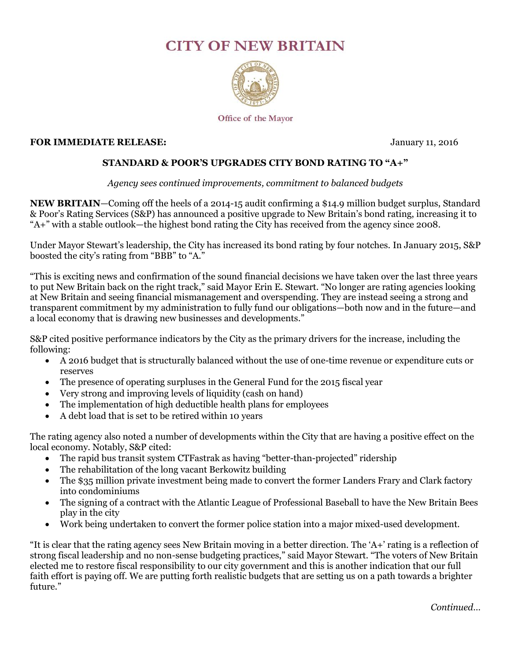## **CITY OF NEW BRITAIN**



Office of the Mayor

## **FOR IMMEDIATE RELEASE:** January 11, 2016

## **STANDARD & POOR'S UPGRADES CITY BOND RATING TO "A+"**

## *Agency sees continued improvements, commitment to balanced budgets*

**NEW BRITAIN**—Coming off the heels of a 2014-15 audit confirming a \$14.9 million budget surplus, Standard & Poor's Rating Services (S&P) has announced a positive upgrade to New Britain's bond rating, increasing it to "A+" with a stable outlook—the highest bond rating the City has received from the agency since 2008.

Under Mayor Stewart's leadership, the City has increased its bond rating by four notches. In January 2015, S&P boosted the city's rating from "BBB" to "A."

"This is exciting news and confirmation of the sound financial decisions we have taken over the last three years to put New Britain back on the right track," said Mayor Erin E. Stewart. "No longer are rating agencies looking at New Britain and seeing financial mismanagement and overspending. They are instead seeing a strong and transparent commitment by my administration to fully fund our obligations—both now and in the future—and a local economy that is drawing new businesses and developments."

S&P cited positive performance indicators by the City as the primary drivers for the increase, including the following:

- A 2016 budget that is structurally balanced without the use of one-time revenue or expenditure cuts or reserves
- The presence of operating surpluses in the General Fund for the 2015 fiscal year
- Very strong and improving levels of liquidity (cash on hand)
- The implementation of high deductible health plans for employees
- A debt load that is set to be retired within 10 years

The rating agency also noted a number of developments within the City that are having a positive effect on the local economy. Notably, S&P cited:

- The rapid bus transit system CTFastrak as having "better-than-projected" ridership
- The rehabilitation of the long vacant Berkowitz building
- The \$35 million private investment being made to convert the former Landers Frary and Clark factory into condominiums
- The signing of a contract with the Atlantic League of Professional Baseball to have the New Britain Bees play in the city
- Work being undertaken to convert the former police station into a major mixed-used development.

"It is clear that the rating agency sees New Britain moving in a better direction. The 'A+' rating is a reflection of strong fiscal leadership and no non-sense budgeting practices," said Mayor Stewart. "The voters of New Britain elected me to restore fiscal responsibility to our city government and this is another indication that our full faith effort is paying off. We are putting forth realistic budgets that are setting us on a path towards a brighter future."